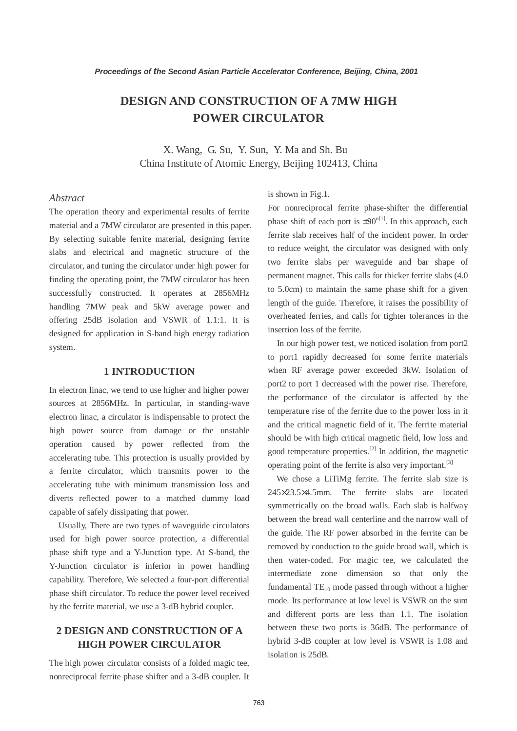# **DESIGN AND CONSTRUCTION OF A 7MW HIGH POWER CIRCULATOR**

X. Wang, G. Su, Y. Sun, Y. Ma and Sh. Bu China Institute of Atomic Energy, Beijing 102413, China

### *Abstract*

The operation theory and experimental results of ferrite material and a 7MW circulator are presented in this paper. By selecting suitable ferrite material, designing ferrite slabs and electrical and magnetic structure of the circulator, and tuning the circulator under high power for finding the operating point, the 7MW circulator has been successfully constructed. It operates at 2856MHz handling 7MW peak and 5kW average power and offering 25dB isolation and VSWR of 1.1:1. It is designed for application in S-band high energy radiation system.

#### **1 INTRODUCTION**

In electron linac, we tend to use higher and higher power sources at 2856MHz. In particular, in standing-wave electron linac, a circulator is indispensable to protect the high power source from damage or the unstable operation caused by power reflected from the accelerating tube. This protection is usually provided by a ferrite circulator, which transmits power to the accelerating tube with minimum transmission loss and diverts reflected power to a matched dummy load capable of safely dissipating that power.

 Usually, There are two types of waveguide circulators used for high power source protection, a differential phase shift type and a Y-Junction type. At S-band, the Y-Junction circulator is inferior in power handling capability. Therefore, We selected a four-port differential phase shift circulator. To reduce the power level received by the ferrite material, we use a 3-dB hybrid coupler.

# **2 DESIGN AND CONSTRUCTION OF A HIGH POWER CIRCULATOR**

The high power circulator consists of a folded magic tee, nonreciprocal ferrite phase shifter and a 3-dB coupler. It is shown in Fig.1.

For nonreciprocal ferrite phase-shifter the differential phase shift of each port is  $\pm 90^{\circ}$ [1]. In this approach, each ferrite slab receives half of the incident power. In order to reduce weight, the circulator was designed with only two ferrite slabs per waveguide and bar shape of permanent magnet. This calls for thicker ferrite slabs (4.0 to 5.0cm) to maintain the same phase shift for a given length of the guide. Therefore, it raises the possibility of overheated ferries, and calls for tighter tolerances in the insertion loss of the ferrite.

 In our high power test, we noticed isolation from port2 to port1 rapidly decreased for some ferrite materials when RF average power exceeded 3kW. Isolation of port2 to port 1 decreased with the power rise. Therefore, the performance of the circulator is affected by the temperature rise of the ferrite due to the power loss in it and the critical magnetic field of it. The ferrite material should be with high critical magnetic field, low loss and good temperature properties.[2] In addition, the magnetic operating point of the ferrite is also very important.<sup>[3]</sup>

 We chose a LiTiMg ferrite. The ferrite slab size is 245×23.5×4.5mm. The ferrite slabs are located symmetrically on the broad walls. Each slab is halfway between the bread wall centerline and the narrow wall of the guide. The RF power absorbed in the ferrite can be removed by conduction to the guide broad wall, which is then water-coded. For magic tee, we calculated the intermediate zone dimension so that only the fundamental  $TE_{10}$  mode passed through without a higher mode. Its performance at low level is VSWR on the sum and different ports are less than 1.1. The isolation between these two ports is 36dB. The performance of hybrid 3-dB coupler at low level is VSWR is 1.08 and isolation is 25dB.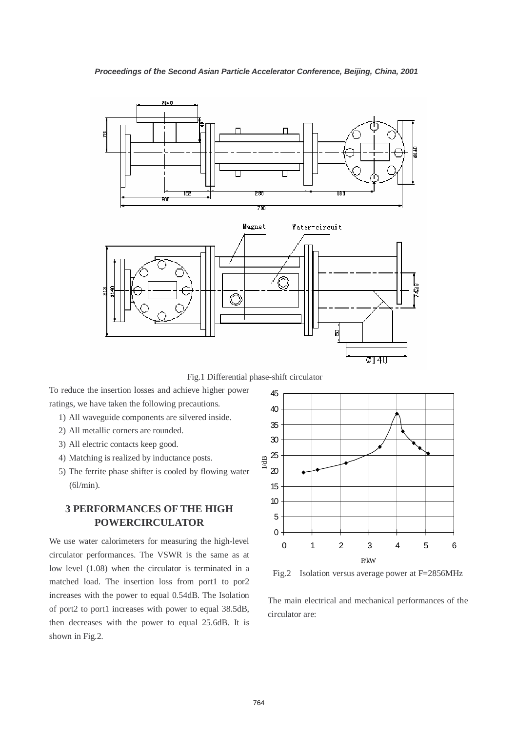

Fig.1 Differential phase-shift circulator

To reduce the insertion losses and achieve higher power ratings, we have taken the following precautions.

- 1) All waveguide components are silvered inside.
- 2) All metallic corners are rounded.
- 3) All electric contacts keep good.
- 4) Matching is realized by inductance posts.
- 5) The ferrite phase shifter is cooled by flowing water (6l/min).

# **3 PERFORMANCES OF THE HIGH POWERCIRCULATOR**

We use water calorimeters for measuring the high-level circulator performances. The VSWR is the same as at low level (1.08) when the circulator is terminated in a matched load. The insertion loss from port1 to por2 increases with the power to equal 0.54dB. The Isolation of port2 to port1 increases with power to equal 38.5dB, then decreases with the power to equal 25.6dB. It is shown in Fig.2.



Fig.2 Isolation versus average power at F=2856MHz

The main electrical and mechanical performances of the circulator are: